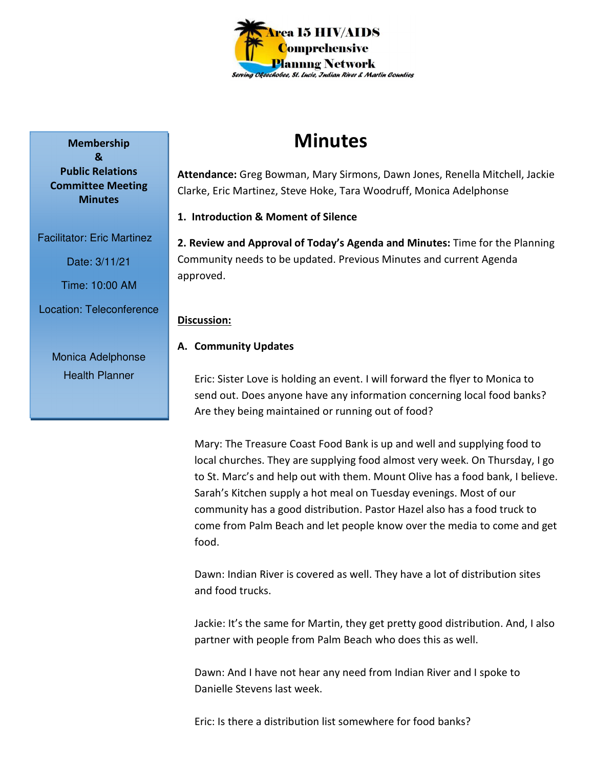

# **Minutes**

**Attendance:** Greg Bowman, Mary Sirmons, Dawn Jones, Renella Mitchell, Jackie Clarke, Eric Martinez, Steve Hoke, Tara Woodruff, Monica Adelphonse

**1. Introduction & Moment of Silence** 

**2. Review and Approval of Today's Agenda and Minutes:** Time for the Planning Community needs to be updated. Previous Minutes and current Agenda approved.

## **Discussion:**

## **A. Community Updates**

Eric: Sister Love is holding an event. I will forward the flyer to Monica to send out. Does anyone have any information concerning local food banks? Are they being maintained or running out of food?

Mary: The Treasure Coast Food Bank is up and well and supplying food to local churches. They are supplying food almost very week. On Thursday, I go to St. Marc's and help out with them. Mount Olive has a food bank, I believe. Sarah's Kitchen supply a hot meal on Tuesday evenings. Most of our community has a good distribution. Pastor Hazel also has a food truck to come from Palm Beach and let people know over the media to come and get food.

Dawn: Indian River is covered as well. They have a lot of distribution sites and food trucks.

Jackie: It's the same for Martin, they get pretty good distribution. And, I also partner with people from Palm Beach who does this as well.

Dawn: And I have not hear any need from Indian River and I spoke to Danielle Stevens last week.

Eric: Is there a distribution list somewhere for food banks?

**Membership & Public Relations Committee Meeting Minutes** 

Facilitator: Eric Martinez

Date: 3/11/21

Time: 10:00 AM

Location: Teleconference

Monica Adelphonse Health Planner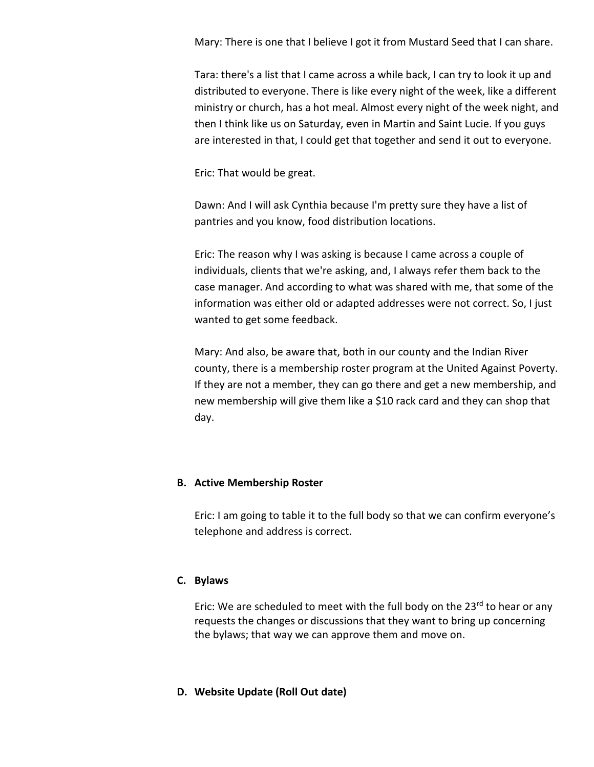Mary: There is one that I believe I got it from Mustard Seed that I can share.

Tara: there's a list that I came across a while back, I can try to look it up and distributed to everyone. There is like every night of the week, like a different ministry or church, has a hot meal. Almost every night of the week night, and then I think like us on Saturday, even in Martin and Saint Lucie. If you guys are interested in that, I could get that together and send it out to everyone.

Eric: That would be great.

Dawn: And I will ask Cynthia because I'm pretty sure they have a list of pantries and you know, food distribution locations.

Eric: The reason why I was asking is because I came across a couple of individuals, clients that we're asking, and, I always refer them back to the case manager. And according to what was shared with me, that some of the information was either old or adapted addresses were not correct. So, I just wanted to get some feedback.

Mary: And also, be aware that, both in our county and the Indian River county, there is a membership roster program at the United Against Poverty. If they are not a member, they can go there and get a new membership, and new membership will give them like a \$10 rack card and they can shop that day.

#### **B. Active Membership Roster**

Eric: I am going to table it to the full body so that we can confirm everyone's telephone and address is correct.

## **C. Bylaws**

Eric: We are scheduled to meet with the full body on the  $23^{rd}$  to hear or any requests the changes or discussions that they want to bring up concerning the bylaws; that way we can approve them and move on.

#### **D. Website Update (Roll Out date)**